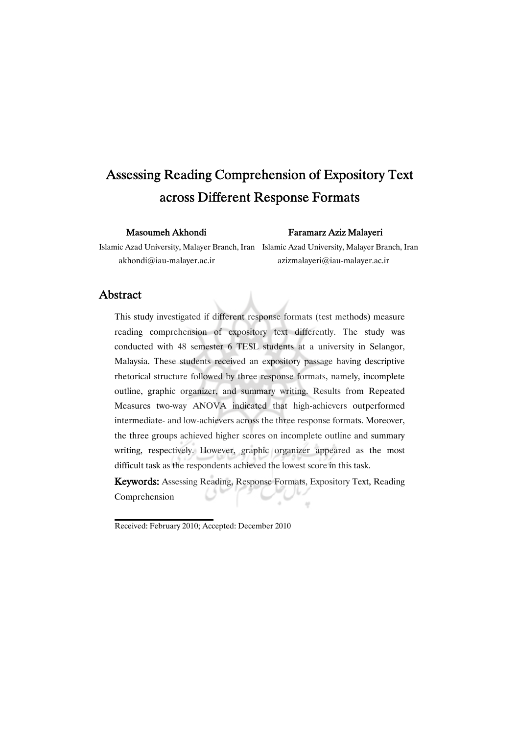# Assessing Reading Comprehension of Expository Text across Different Response Formats

#### Masoumeh Akhondi Faramarz Aziz Malayeri

Islamic Azad University, Malayer Branch, Iran Islamic Azad University, Malayer Branch, Iran akhondi@iau-malayer.ac.ir azizmalayeri@iau-malayer.ac.ir

### Abstract

This study investigated if different response formats (test methods) measure reading comprehension of expository text differently. The study was conducted with 48 semester 6 TESL students at a university in Selangor, Malaysia. These students received an expository passage having descriptive rhetorical structure followed by three response formats, namely, incomplete outline, graphic organizer, and summary writing. Results from Repeated Measures two-way ANOVA indicated that high-achievers outperformed intermediate- and low-achievers across the three response formats. Moreover, the three groups achieved higher scores on incomplete outline and summary writing, respectively. However, graphic organizer appeared as the most difficult task as the respondents achieved the lowest score in this task.

Keywords: Assessing Reading, Response Formats, Expository Text, Reading Comprehension  $\pm 1$ 

Received: February 2010; Accepted: December 2010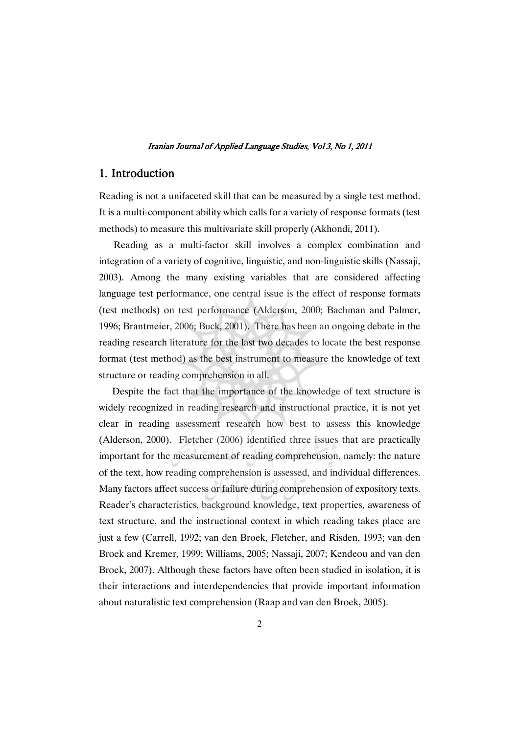### 1. Introduction

Reading is not a unifaceted skill that can be measured by a single test method. It is a multi-component ability which calls for a variety of response formats (test methods) to measure this multivariate skill properly (Akhondi, 2011).

Reading as a multi-factor skill involves a complex combination and integration of a variety of cognitive, linguistic, and non-linguistic skills (Nassaji, 2003). Among the many existing variables that are considered affecting language test performance, one central issue is the effect of response formats (test methods) on test performance (Alderson, 2000; Bachman and Palmer, 1996; Brantmeier, 2006; Buck, 2001). There has been an ongoing debate in the reading research literature for the last two decades to locate the best response format (test method) as the best instrument to measure the knowledge of text structure or reading comprehension in all.

Despite the fact that the importance of the knowledge of text structure is widely recognized in reading research and instructional practice, it is not yet clear in reading assessment research how best to assess this knowledge (Alderson, 2000). Fletcher (2006) identified three issues that are practically important for the measurement of reading comprehension, namely: the nature of the text, how reading comprehension is assessed, and individual differences. Many factors affect success or failure during comprehension of expository texts. Reader's characteristics, background knowledge, text properties, awareness of text structure, and the instructional context in which reading takes place are just a few (Carrell, 1992; van den Broek, Fletcher, and Risden, 1993; van den Broek and Kremer, 1999; Williams, 2005; Nassaji, 2007; Kendeou and van den Broek, 2007). Although these factors have often been studied in isolation, it is their interactions and interdependencies that provide important information about naturalistic text comprehension (Raap and van den Broek, 2005).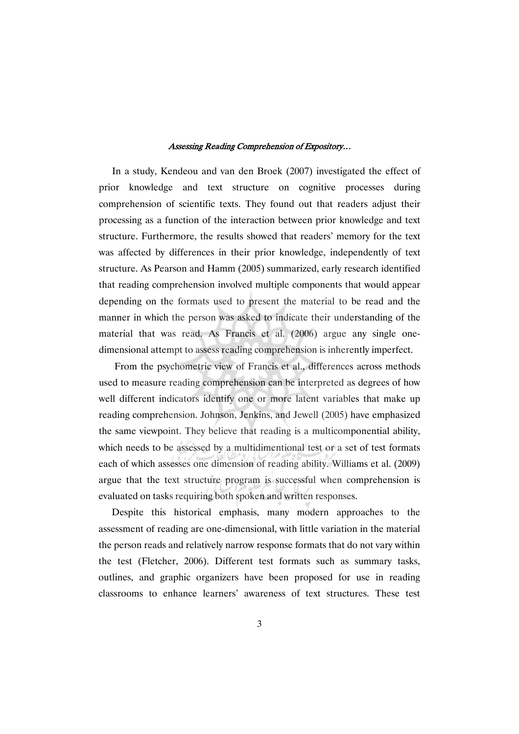In a study, Kendeou and van den Broek (2007) investigated the effect of prior knowledge and text structure on cognitive processes during comprehension of scientific texts. They found out that readers adjust their processing as a function of the interaction between prior knowledge and text structure. Furthermore, the results showed that readers' memory for the text was affected by differences in their prior knowledge, independently of text structure. As Pearson and Hamm (2005) summarized, early research identified that reading comprehension involved multiple components that would appear depending on the formats used to present the material to be read and the manner in which the person was asked to indicate their understanding of the material that was read. As Francis et al. (2006) argue any single onedimensional attempt to assess reading comprehension is inherently imperfect.

From the psychometric view of Francis et al., differences across methods used to measure reading comprehension can be interpreted as degrees of how well different indicators identify one or more latent variables that make up reading comprehension. Johnson, Jenkins, and Jewell (2005) have emphasized the same viewpoint. They believe that reading is a multicomponential ability, which needs to be assessed by a multidimentional test or a set of test formats each of which assesses one dimension of reading ability. Williams et al. (2009) argue that the text structure program is successful when comprehension is evaluated on tasks requiring both spoken and written responses.

Despite this historical emphasis, many modern approaches to the assessment of reading are one-dimensional, with little variation in the material the person reads and relatively narrow response formats that do not vary within the test (Fletcher, 2006). Different test formats such as summary tasks, outlines, and graphic organizers have been proposed for use in reading classrooms to enhance learners' awareness of text structures. These test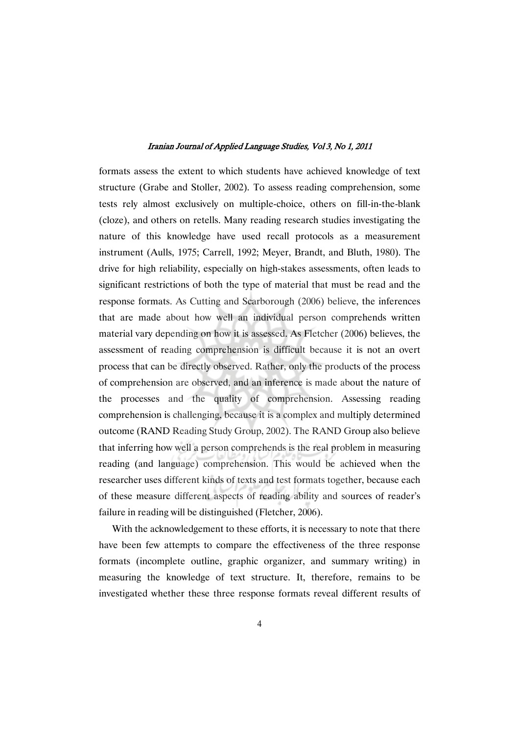formats assess the extent to which students have achieved knowledge of text structure (Grabe and Stoller, 2002). To assess reading comprehension, some tests rely almost exclusively on multiple-choice, others on fill-in-the-blank (cloze), and others on retells. Many reading research studies investigating the nature of this knowledge have used recall protocols as a measurement instrument (Aulls, 1975; Carrell, 1992; Meyer, Brandt, and Bluth, 1980). The drive for high reliability, especially on high-stakes assessments, often leads to significant restrictions of both the type of material that must be read and the response formats. As Cutting and Scarborough (2006) believe, the inferences that are made about how well an individual person comprehends written material vary depending on how it is assessed. As Fletcher (2006) believes, the assessment of reading comprehension is difficult because it is not an overt process that can be directly observed. Rather, only the products of the process of comprehension are observed, and an inference is made about the nature of the processes and the quality of comprehension. Assessing reading comprehension is challenging, because it is a complex and multiply determined outcome (RAND Reading Study Group, 2002). The RAND Group also believe that inferring how well a person comprehends is the real problem in measuring reading (and language) comprehension. This would be achieved when the researcher uses different kinds of texts and test formats together, because each of these measure different aspects of reading ability and sources of reader's failure in reading will be distinguished (Fletcher, 2006).

With the acknowledgement to these efforts, it is necessary to note that there have been few attempts to compare the effectiveness of the three response formats (incomplete outline, graphic organizer, and summary writing) in measuring the knowledge of text structure. It, therefore, remains to be investigated whether these three response formats reveal different results of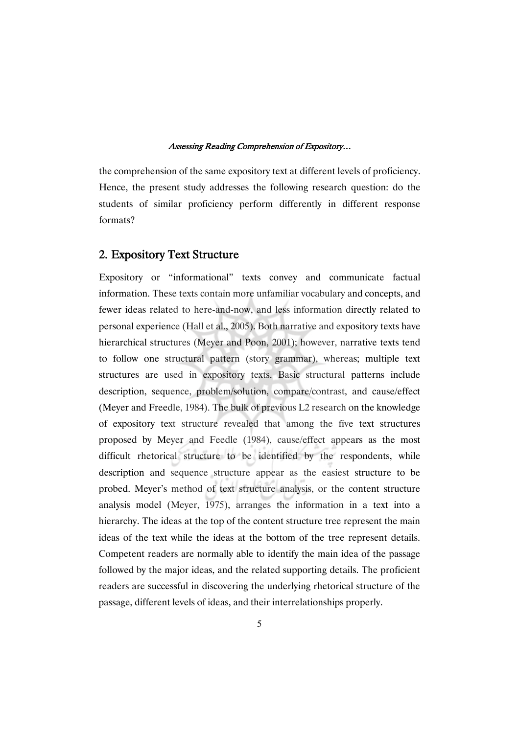the comprehension of the same expository text at different levels of proficiency. Hence, the present study addresses the following research question: do the students of similar proficiency perform differently in different response formats?

### 2. Expository Text Structure

Expository or "informational" texts convey and communicate factual information. These texts contain more unfamiliar vocabulary and concepts, and fewer ideas related to here-and-now, and less information directly related to personal experience (Hall et al., 2005). Both narrative and expository texts have hierarchical structures (Meyer and Poon, 2001); however, narrative texts tend to follow one structural pattern (story grammar), whereas; multiple text structures are used in expository texts. Basic structural patterns include description, sequence, problem/solution, compare/contrast, and cause/effect (Meyer and Freedle, 1984). The bulk of previous L2 research on the knowledge of expository text structure revealed that among the five text structures proposed by Meyer and Feedle (1984), cause/effect appears as the most difficult rhetorical structure to be identified by the respondents, while description and sequence structure appear as the easiest structure to be probed. Meyer's method of text structure analysis, or the content structure analysis model (Meyer, 1975), arranges the information in a text into a hierarchy. The ideas at the top of the content structure tree represent the main ideas of the text while the ideas at the bottom of the tree represent details. Competent readers are normally able to identify the main idea of the passage followed by the major ideas, and the related supporting details. The proficient readers are successful in discovering the underlying rhetorical structure of the passage, different levels of ideas, and their interrelationships properly.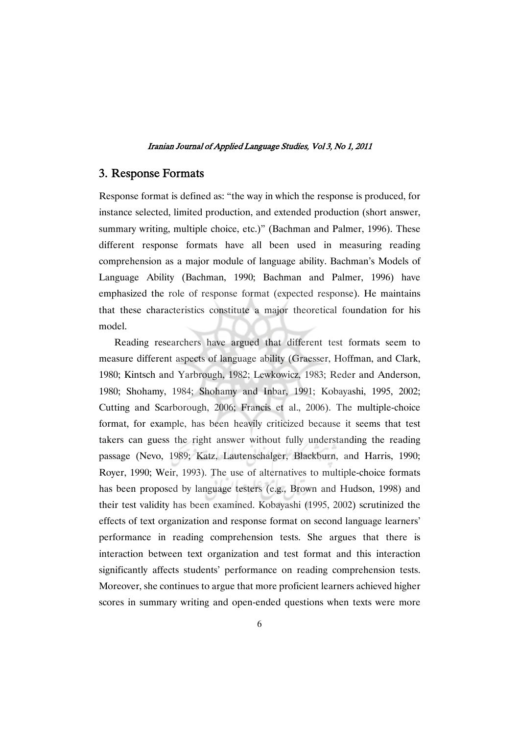### 3. Response Formats

Response format is defined as: "the way in which the response is produced, for instance selected, limited production, and extended production (short answer, summary writing, multiple choice, etc.)" (Bachman and Palmer, 1996). These different response formats have all been used in measuring reading comprehension as a major module of language ability. Bachman's Models of Language Ability (Bachman, 1990; Bachman and Palmer, 1996) have emphasized the role of response format (expected response). He maintains that these characteristics constitute a major theoretical foundation for his model.

Reading researchers have argued that different test formats seem to measure different aspects of language ability (Graesser, Hoffman, and Clark, 1980; Kintsch and Yarbrough, 1982; Lewkowicz, 1983; Reder and Anderson, 1980; Shohamy, 1984; Shohamy and Inbar, 1991; Kobayashi, 1995, 2002; Cutting and Scarborough, 2006; Francis et al., 2006). The multiple-choice format, for example, has been heavily criticized because it seems that test takers can guess the right answer without fully understanding the reading passage (Nevo, 1989; Katz, Lautenschalger, Blackburn, and Harris, 1990; Royer, 1990; Weir, 1993). The use of alternatives to multiple-choice formats has been proposed by language testers (e.g., Brown and Hudson, 1998) and their test validity has been examined. Kobayashi (1995, 2002) scrutinized the effects of text organization and response format on second language learners' performance in reading comprehension tests. She argues that there is interaction between text organization and test format and this interaction significantly affects students' performance on reading comprehension tests. Moreover, she continues to argue that more proficient learners achieved higher scores in summary writing and open-ended questions when texts were more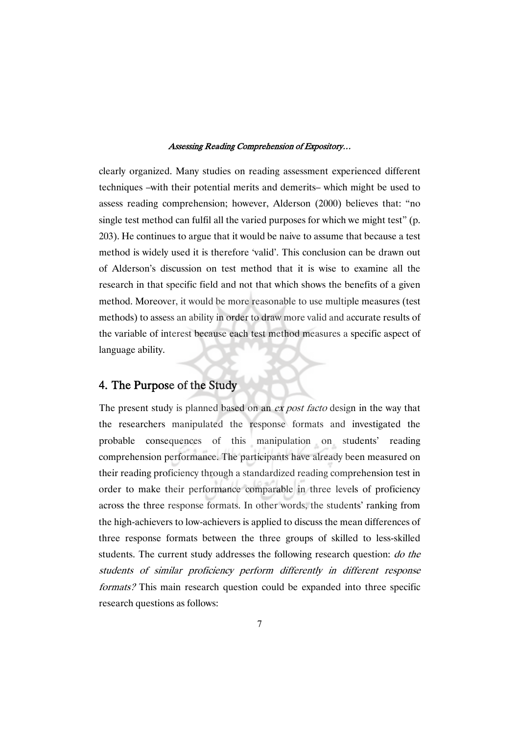clearly organized. Many studies on reading assessment experienced different techniques –with their potential merits and demerits– which might be used to assess reading comprehension; however, Alderson (2000) believes that: "no single test method can fulfil all the varied purposes for which we might test" (p. 203). He continues to argue that it would be naive to assume that because a test method is widely used it is therefore 'valid'. This conclusion can be drawn out of Alderson's discussion on test method that it is wise to examine all the research in that specific field and not that which shows the benefits of a given method. Moreover, it would be more reasonable to use multiple measures (test methods) to assess an ability in order to draw more valid and accurate results of the variable of interest because each test method measures a specific aspect of language ability.

### 4. The Purpose of the Study

The present study is planned based on an ex post facto design in the way that the researchers manipulated the response formats and investigated the probable consequences of this manipulation on students' reading comprehension performance. The participants have already been measured on their reading proficiency through a standardized reading comprehension test in order to make their performance comparable in three levels of proficiency across the three response formats. In other words, the students' ranking from the high-achievers to low-achievers is applied to discuss the mean differences of three response formats between the three groups of skilled to less-skilled students. The current study addresses the following research question: *do the* students of similar proficiency perform differently in different response formats? This main research question could be expanded into three specific research questions as follows: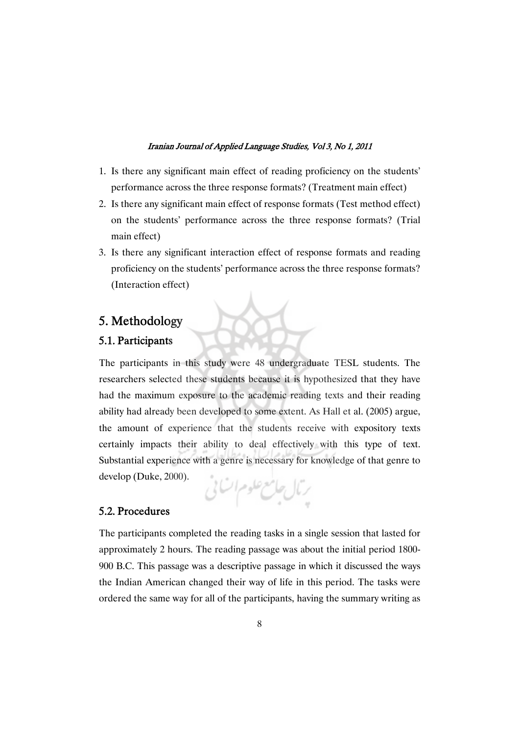- 1. Is there any significant main effect of reading proficiency on the students' performance across the three response formats? (Treatment main effect)
- 2. Is there any significant main effect of response formats (Test method effect) on the students' performance across the three response formats? (Trial main effect)
- 3. Is there any significant interaction effect of response formats and reading proficiency on the students' performance across the three response formats? (Interaction effect)

# 5. Methodology

# 5.1. Participants

The participants in this study were 48 undergraduate TESL students. The researchers selected these students because it is hypothesized that they have had the maximum exposure to the academic reading texts and their reading ability had already been developed to some extent. As Hall et al. (2005) argue, the amount of experience that the students receive with expository texts certainly impacts their ability to deal effectively with this type of text. Substantial experience with a genre is necessary for knowledge of that genre to develop (Duke, 2000).

$$
\mathcal{C}^{(1)} \rightarrow \mathcal{C}^{(2)} \rightarrow \mathcal{C}^{(1)}
$$

# 5.2. Procedures

The participants completed the reading tasks in a single session that lasted for approximately 2 hours. The reading passage was about the initial period 1800- 900 B.C. This passage was a descriptive passage in which it discussed the ways the Indian American changed their way of life in this period. The tasks were ordered the same way for all of the participants, having the summary writing as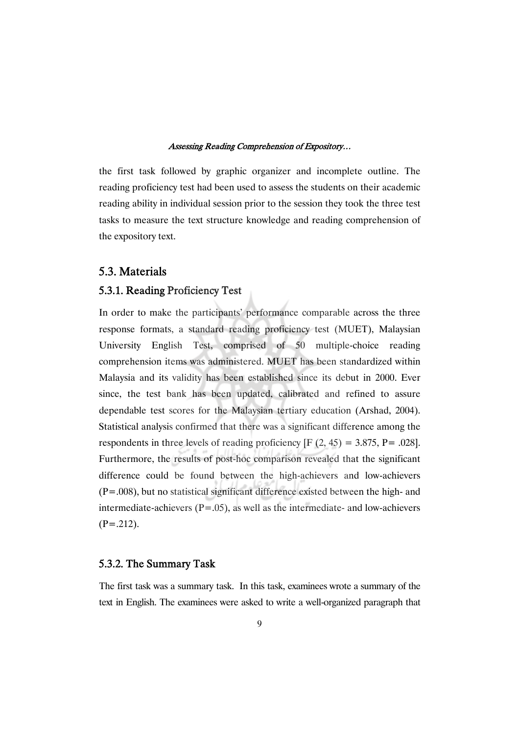the first task followed by graphic organizer and incomplete outline. The reading proficiency test had been used to assess the students on their academic reading ability in individual session prior to the session they took the three test tasks to measure the text structure knowledge and reading comprehension of the expository text.

### 5.3.Materials

### 5.3.1. Reading Proficiency Test

In order to make the participants' performance comparable across the three response formats, a standard reading proficiency test (MUET), Malaysian University English Test, comprised of 50 multiple-choice reading comprehension items was administered. MUET has been standardized within Malaysia and its validity has been established since its debut in 2000. Ever since, the test bank has been updated, calibrated and refined to assure dependable test scores for the Malaysian tertiary education (Arshad, 2004). Statistical analysis confirmed that there was a significant difference among the respondents in three levels of reading proficiency  $[F (2, 45) = 3.875, P = .028]$ . Furthermore, the results of post-hoc comparison revealed that the significant difference could be found between the high-achievers and low-achievers (P=.008), but no statistical significant difference existed between the high- and intermediate-achievers  $(P=.05)$ , as well as the intermediate- and low-achievers  $(P=.212)$ .

### 5.3.2. The Summary Task

The first task was a summary task. In this task, examinees wrote a summary of the text in English. The examinees were asked to write a well-organized paragraph that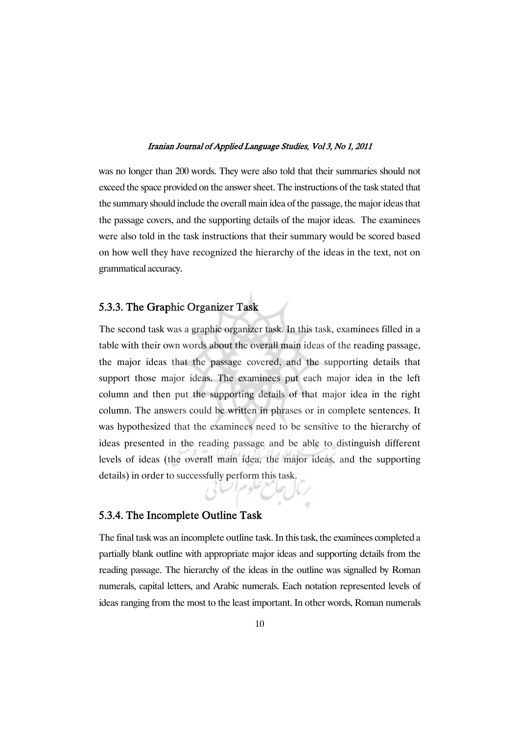was no longer than 200 words. They were also told that their summaries should not exceed the space provided on the answersheet. The instructions of the task stated that the summary should include the overall main idea of the passage, the major ideas that the passage covers, and the supporting details of the major ideas. The examinees were also told in the task instructions that their summary would be scored based on how well they have recognized the hierarchy of the ideas in the text, not on grammatical accuracy.

### 5.3.3. The Graphic Organizer Task

The second task was a graphic organizer task. In this task, examinees filled in a table with their own words about the overall main ideas of the reading passage, the major ideas that the passage covered, and the supporting details that support those major ideas. The examinees put each major idea in the left column and then put the supporting details of that major idea in the right column. The answers could be written in phrases or in complete sentences. It was hypothesized that the examinees need to be sensitive to the hierarchy of ideas presented in the reading passage and be able to distinguish different levels of ideas (the overall main idea, the major ideas, and the supporting details) in order to successfully perform this task.

### 5.3.4. The Incomplete Outline Task

The final task was an incomplete outline task. In this task, the examinees completed a partially blank outline with appropriate major ideas and supporting details from the reading passage. The hierarchy of the ideas in the outline was signalled by Roman numerals, capital letters, and Arabic numerals. Each notation represented levels of ideas ranging from the most to the least important. In other words, Roman numerals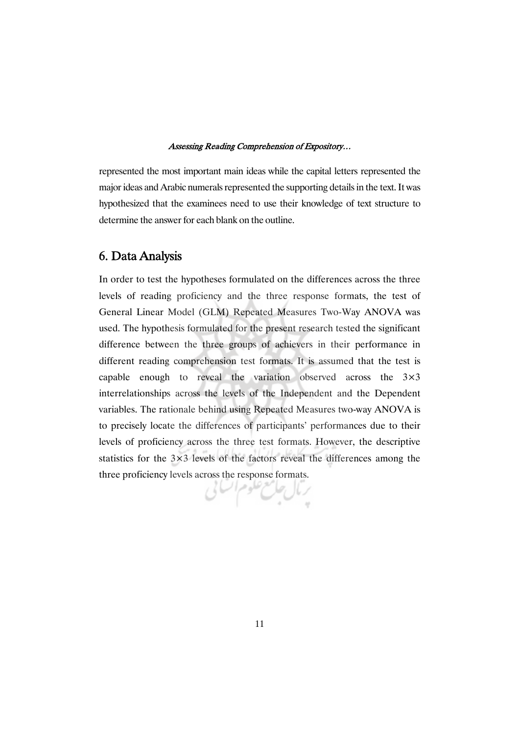represented the most important main ideas while the capital letters represented the major ideas and Arabic numerals represented the supporting details in the text. It was hypothesized that the examinees need to use their knowledge of text structure to determine the answer for each blank on the outline.

# 6. DataAnalysis

In order to test the hypotheses formulated on the differences across the three levels of reading proficiency and the three response formats, the test of General Linear Model (GLM) Repeated Measures Two-Way ANOVA was used. The hypothesis formulated for the present research tested the significant difference between the three groups of achievers in their performance in different reading comprehension test formats. It is assumed that the test is capable enough to reveal the variation observed across the 3×3 interrelationships across the levels of the Independent and the Dependent variables. The rationale behind using Repeated Measures two-way ANOVA is to precisely locate the differences of participants' performances due to their levels of proficiency across the three test formats. However, the descriptive statistics for the 3×3 levels of the factors reveal the differences among the three proficiency levels across the response formats.

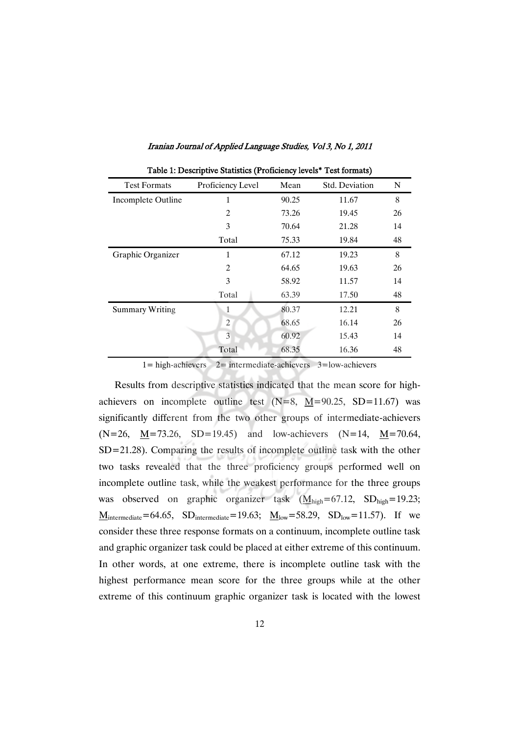| $\frac{1}{2}$ and $\frac{1}{2}$ and $\frac{1}{2}$ are $\frac{1}{2}$ and $\frac{1}{2}$ are $\frac{1}{2}$ and $\frac{1}{2}$ are $\frac{1}{2}$ and $\frac{1}{2}$ are $\frac{1}{2}$ |                   |       |                |    |  |  |
|---------------------------------------------------------------------------------------------------------------------------------------------------------------------------------|-------------------|-------|----------------|----|--|--|
| <b>Test Formats</b>                                                                                                                                                             | Proficiency Level | Mean  | Std. Deviation | N  |  |  |
| Incomplete Outline                                                                                                                                                              | 1                 | 90.25 | 11.67          | 8  |  |  |
|                                                                                                                                                                                 | 2                 | 73.26 | 19.45          | 26 |  |  |
|                                                                                                                                                                                 | 3                 | 70.64 | 21.28          | 14 |  |  |
|                                                                                                                                                                                 | Total             | 75.33 | 19.84          | 48 |  |  |
| Graphic Organizer                                                                                                                                                               | 1                 | 67.12 | 19.23          | 8  |  |  |
|                                                                                                                                                                                 | 2                 | 64.65 | 19.63          | 26 |  |  |
|                                                                                                                                                                                 | 3                 | 58.92 | 11.57          | 14 |  |  |
|                                                                                                                                                                                 | Total             | 63.39 | 17.50          | 48 |  |  |
| <b>Summary Writing</b>                                                                                                                                                          | 1                 | 80.37 | 12.21          | 8  |  |  |
|                                                                                                                                                                                 | $\overline{c}$    | 68.65 | 16.14          | 26 |  |  |
|                                                                                                                                                                                 | 3                 | 60.92 | 15.43          | 14 |  |  |
|                                                                                                                                                                                 | Total             | 68.35 | 16.36          | 48 |  |  |

Table 1: Descriptive Statistics (Proficiency levels\* Test formats)

1= high-achievers 2= intermediate-achievers 3=low-achievers

Results from descriptive statistics indicated that the mean score for highachievers on incomplete outline test  $(N=8, M=90.25, SD=11.67)$  was significantly different from the two other groups of intermediate-achievers  $(N=26, M=73.26, SD=19.45)$  and low-achievers  $(N=14, M=70.64,$ SD=21.28). Comparing the results of incomplete outline task with the other two tasks revealed that the three proficiency groups performed well on incomplete outline task, while the weakest performance for the three groups was observed on graphic organizer task  $(M_{high}=67.12, SD_{high}=19.23;$  $M_{\text{intermediate}} = 64.65$ ,  $SD_{\text{intermediate}} = 19.63$ ;  $M_{\text{low}} = 58.29$ ,  $SD_{\text{low}} = 11.57$ ). If we consider these three response formats on a continuum, incomplete outline task and graphic organizer task could be placed at either extreme of this continuum. In other words, at one extreme, there is incomplete outline task with the highest performance mean score for the three groups while at the other extreme of this continuum graphic organizer task is located with the lowest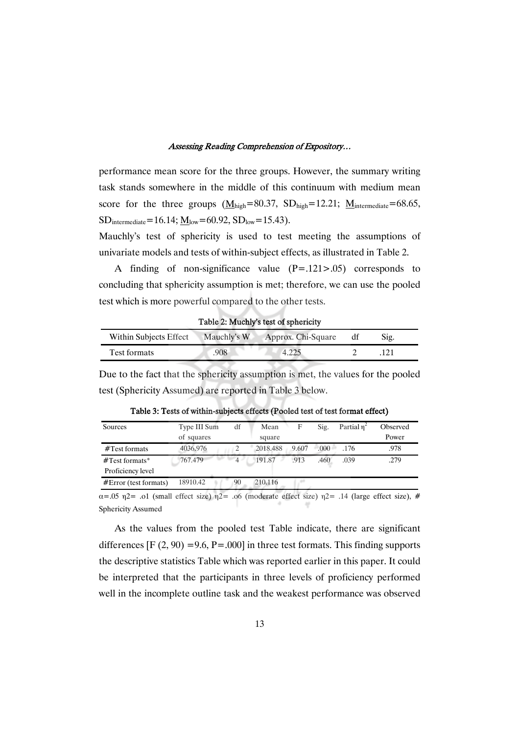performance mean score for the three groups. However, the summary writing task stands somewhere in the middle of this continuum with medium mean score for the three groups  $(M_{\text{high}}=80.37, SD_{\text{high}}=12.21; M_{\text{intermediate}}=68.65,$  $SD_{intermediate} = 16.14; M_{low} = 60.92, SD_{low} = 15.43).$ 

Mauchly's test of sphericity is used to test meeting the assumptions of univariate models and tests of within-subject effects, as illustrated in Table 2.

A finding of non-significance value (P=.121>.05) corresponds to concluding that sphericity assumption is met; therefore, we can use the pooled test which is more powerful compared to the other tests.

| Within Subjects Effect | Mauchly's W | Approx. Chi-Square | S1g. |  |
|------------------------|-------------|--------------------|------|--|
| <b>Test formats</b>    | 908         | 4.225              |      |  |

Table 2: Muchly's test of sphericity

Due to the fact that the sphericity assumption is met, the values for the pooled test (Sphericity Assumed) are reported in Table 3 below.

| Sources                 | Type III Sum | df             | Mean     | F     | Sig. | Partial $\eta^2$ | Observed |
|-------------------------|--------------|----------------|----------|-------|------|------------------|----------|
|                         | of squares   |                | square   |       |      |                  | Power    |
| $#Test$ formats         | 4036.976     |                | 2018.488 | 9.607 | .000 | .176             | .978     |
| $#Test$ formats*        | 767.479      | $\overline{4}$ | 191.87   | .913  | .460 | .039             | .279     |
| Proficiency level       |              |                |          |       |      |                  |          |
| $#Error$ (test formats) | 18910.42     | 90             | 210.116  |       |      |                  |          |

Table 3: Tests of within-subjects effects (Pooled test of test format effect)

 $\alpha$ =.05  $\eta$ 2= .o1 (small effect size)  $\eta$ 2= .o6 (moderate effect size)  $\eta$ 2= .14 (large effect size), # Sphericity Assumed

As the values from the pooled test Table indicate, there are significant differences  $[F (2, 90) = 9.6, P = .000]$  in three test formats. This finding supports the descriptive statistics Table which was reported earlier in this paper. It could be interpreted that the participants in three levels of proficiency performed well in the incomplete outline task and the weakest performance was observed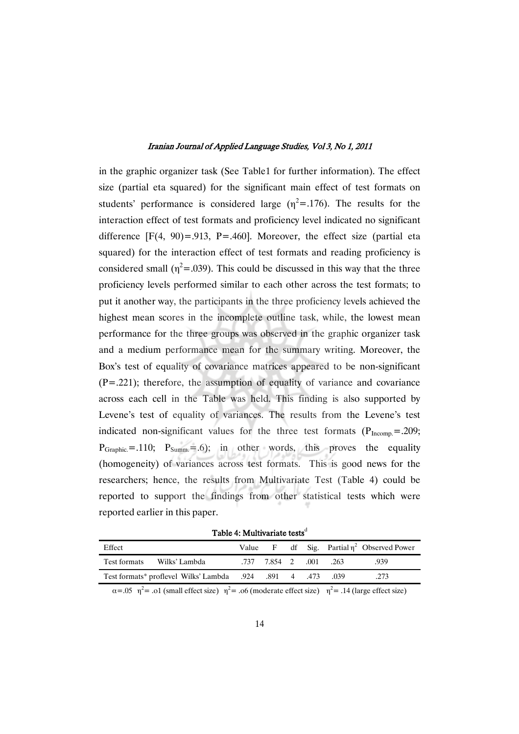in the graphic organizer task (See Table1 for further information). The effect size (partial eta squared) for the significant main effect of test formats on students' performance is considered large  $(\eta^2 = .176)$ . The results for the interaction effect of test formats and proficiency level indicated no significant difference  $[F(4, 90) = .913, P = .460]$ . Moreover, the effect size (partial eta squared) for the interaction effect of test formats and reading proficiency is considered small ( $\eta^2$ =.039). This could be discussed in this way that the three proficiency levels performed similar to each other across the test formats; to put it another way, the participants in the three proficiency levels achieved the highest mean scores in the incomplete outline task, while, the lowest mean performance for the three groups was observed in the graphic organizer task and a medium performance mean for the summary writing. Moreover, the Box's test of equality of covariance matrices appeared to be non-significant  $(P=.221)$ ; therefore, the assumption of equality of variance and covariance across each cell in the Table was held. This finding is also supported by Levene's test of equality of variances. The results from the Levene's test indicated non-significant values for the three test formats  $(P_{Incomp.} = .209;$  $P_{Graphic} = .110$ ;  $P_{Summ} = .6$ ); in other words, this proves the equality (homogeneity) of variances across test formats. This is good news for the researchers; hence, the results from Multivariate Test (Table 4) could be reported to support the findings from other statistical tests which were reported earlier in this paper.

Table 4: Multivariate tests<sup>d</sup>

| Effect                        |                        |  |       | Value F df Sig. Partial $\eta^2$ Observed Power |
|-------------------------------|------------------------|--|-------|-------------------------------------------------|
| Test formats<br>Wilks' Lambda | .737 7.854 2 .001 .263 |  |       | .939                                            |
|                               |                        |  | - 039 | .273                                            |

 $\alpha$ =.05  $\eta$ <sup>2</sup> = .01 (small effect size)  $\eta$ <sup>2</sup> = .06 (moderate effect size)  $\eta$ <sup>2</sup> = .14 (large effect size)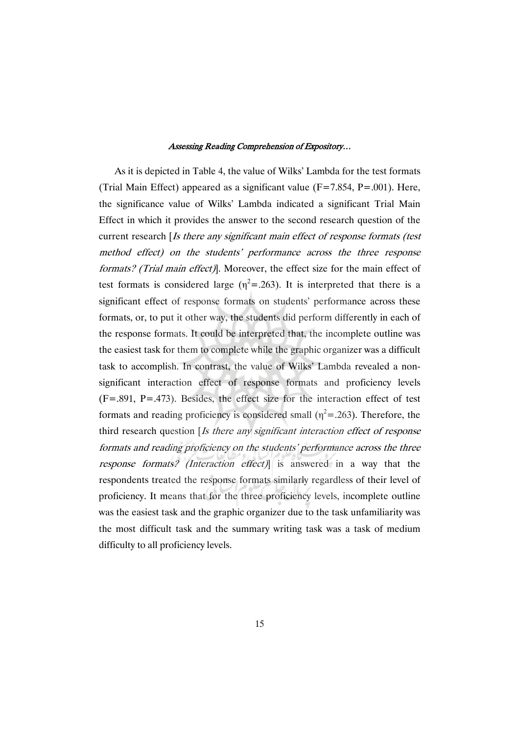As it is depicted in Table 4, the value of Wilks' Lambda for the test formats (Trial Main Effect) appeared as a significant value ( $F=7.854$ ,  $P=.001$ ). Here, the significance value of Wilks' Lambda indicated a significant Trial Main Effect in which it provides the answer to the second research question of the current research [Is there any significant main effect of response formats (test method effect) on the students' performance across the three response formats? (Trial main effect)]. Moreover, the effect size for the main effect of test formats is considered large  $(\eta^2 = 0.263)$ . It is interpreted that there is a significant effect of response formats on students' performance across these formats, or, to put it other way, the students did perform differently in each of the response formats. It could be interpreted that, the incomplete outline was the easiest task for them to complete while the graphic organizer was a difficult task to accomplish. In contrast, the value of Wilks' Lambda revealed a nonsignificant interaction effect of response formats and proficiency levels (F=.891, P=.473). Besides, the effect size for the interaction effect of test formats and reading proficiency is considered small ( $\eta^2$  = .263). Therefore, the third research question [Is there any significant interaction effect of response formats and reading proficiency on the students' performance across the three response formats? (Interaction effect)] is answered in a way that the respondents treated the response formats similarly regardless of their level of proficiency. It means that for the three proficiency levels, incomplete outline was the easiest task and the graphic organizer due to the task unfamiliarity was the most difficult task and the summary writing task was a task of medium difficulty to all proficiency levels.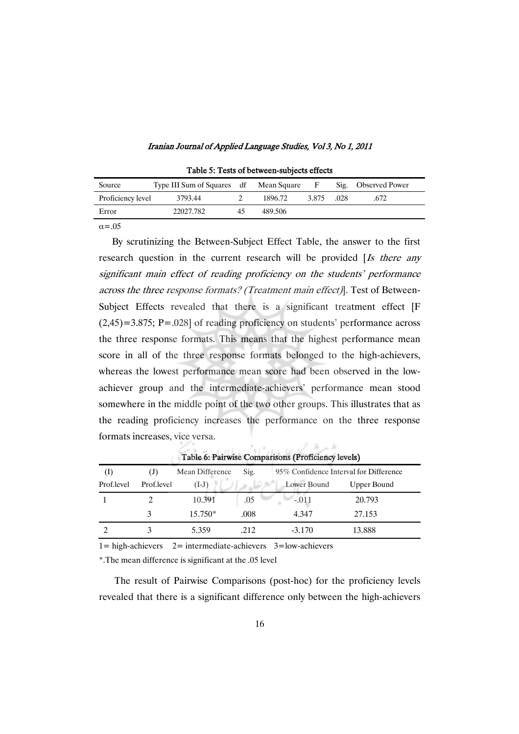| Source            | Type III Sum of Squares df Mean Square |         | -F    |      | Sig. Observed Power |
|-------------------|----------------------------------------|---------|-------|------|---------------------|
| Proficiency level | 3793.44                                | 1896.72 | 3.875 | .028 | .672.               |
| Error             | 22027.782                              | 489.506 |       |      |                     |
|                   |                                        |         |       |      |                     |

Table 5: Tests of between-subjects effects

 $\alpha$ = 05

By scrutinizing the Between-Subject Effect Table, the answer to the first research question in the current research will be provided [Is there any significant main effect of reading proficiency on the students' performance across the three response formats? (Treatment main effect)]. Test of Between-Subject Effects revealed that there is a significant treatment effect [F (2,45)=3.875; P=.028] of reading proficiency on students' performance across the three response formats. This means that the highest performance mean score in all of the three response formats belonged to the high-achievers, whereas the lowest performance mean score had been observed in the lowachiever group and the intermediate-achievers' performance mean stood somewhere in the middle point of the two other groups. This illustrates that as the reading proficiency increases the performance on the three response formats increases, vice versa.

| <b>L'avie 0. Fail wise Comparisons (Fronciency levels)</b> |            |                 |      |                                        |             |  |  |
|------------------------------------------------------------|------------|-----------------|------|----------------------------------------|-------------|--|--|
| (I)                                                        | (J)        | Mean Difference | Sig. | 95% Confidence Interval for Difference |             |  |  |
| Prof.level                                                 | Prof.level | $(I-J)$         |      | Lower Bound                            | Upper Bound |  |  |
|                                                            |            | 10.391          | .05  | $-.011$                                | 20.793      |  |  |
|                                                            |            | $15.750*$       | .008 | 4.347                                  | 27.153      |  |  |
|                                                            |            | 5.359           | .212 | $-3.170$                               | 13.888      |  |  |

Table 6: Pairwise Comparisons

 $1/h$  points

 $1 =$  high-achievers  $2 =$  intermediate-achievers  $3 =$ low-achievers

\*.The mean difference is significant at the .05 level

The result of Pairwise Comparisons (post-hoc) for the proficiency levels revealed that there is a significant difference only between the high-achievers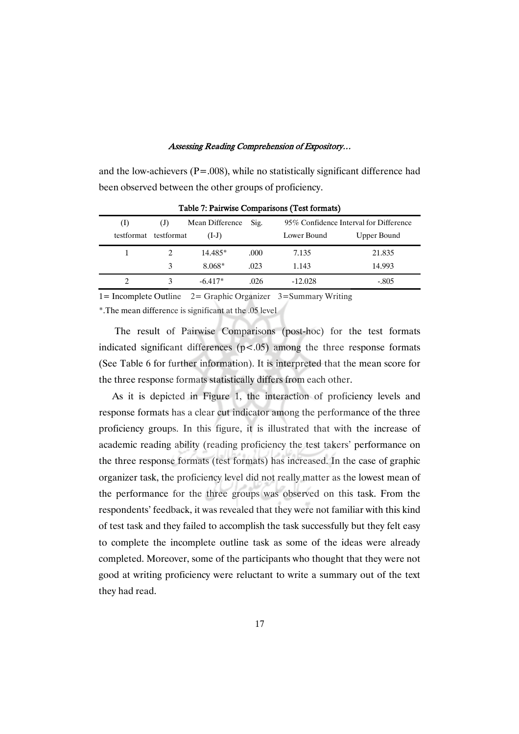and the low-achievers ( $P = .008$ ), while no statistically significant difference had been observed between the other groups of proficiency.

| (I)                   | (J) | Mean Difference | Sig. | 95% Confidence Interval for Difference |             |
|-----------------------|-----|-----------------|------|----------------------------------------|-------------|
| testformat testformat |     | $(I-J)$         |      | Lower Bound                            | Upper Bound |
|                       |     | $14.485*$       | .000 | 7.135                                  | 21.835      |
|                       | 3   | 8.068*          | .023 | 1.143                                  | 14.993      |
|                       |     | $-6.417*$       | .026 | $-12.028$                              | $-.805$     |

Table 7: Pairwise Comparisons (Test formats)

1= Incomplete Outline 2= Graphic Organizer 3=Summary Writing

\*.The mean difference is significant at the .05 level

The result of Pairwise Comparisons (post-hoc) for the test formats indicated significant differences  $(p<.05)$  among the three response formats (See Table 6 for further information). It is interpreted that the mean score for the three response formats statistically differs from each other.

As it is depicted in Figure 1, the interaction of proficiency levels and response formats has a clear cut indicator among the performance of the three proficiency groups. In this figure, it is illustrated that with the increase of academic reading ability (reading proficiency the test takers' performance on the three response formats (test formats) has increased. In the case of graphic organizer task, the proficiency level did not really matter as the lowest mean of the performance for the three groups was observed on this task. From the respondents' feedback, it was revealed that they were not familiar with this kind of test task and they failed to accomplish the task successfully but they felt easy to complete the incomplete outline task as some of the ideas were already completed. Moreover, some of the participants who thought that they were not good at writing proficiency were reluctant to write a summary out of the text they had read.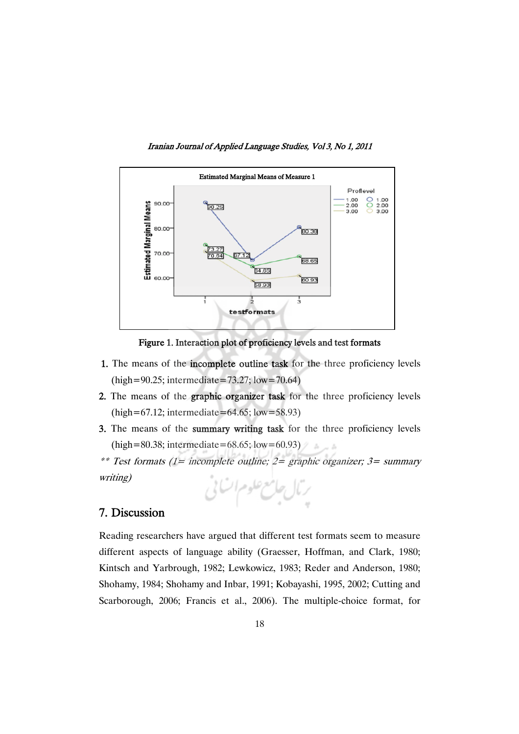



Figure 1. Interaction plot of proficiency levels and test formats

- 1. The means of the incomplete outline task for the three proficiency levels (high=90.25; intermediate=73.27; low=70.64)
- 2. The means of the graphic organizer task for the three proficiency levels (high=67.12; intermediate=64.65; low=58.93)
- 3. The means of the summary writing task for the three proficiency levels (high=80.38; intermediate=68.65; low=60.93)

\*\* Test formats (1= incomplete outline; 2= graphic organizer; 3= summary writing)



# 7. Discussion

Reading researchers have argued that different test formats seem to measure different aspects of language ability (Graesser, Hoffman, and Clark, 1980; Kintsch and Yarbrough, 1982; Lewkowicz, 1983; Reder and Anderson, 1980; Shohamy, 1984; Shohamy and Inbar, 1991; Kobayashi, 1995, 2002; Cutting and Scarborough, 2006; Francis et al., 2006). The multiple-choice format, for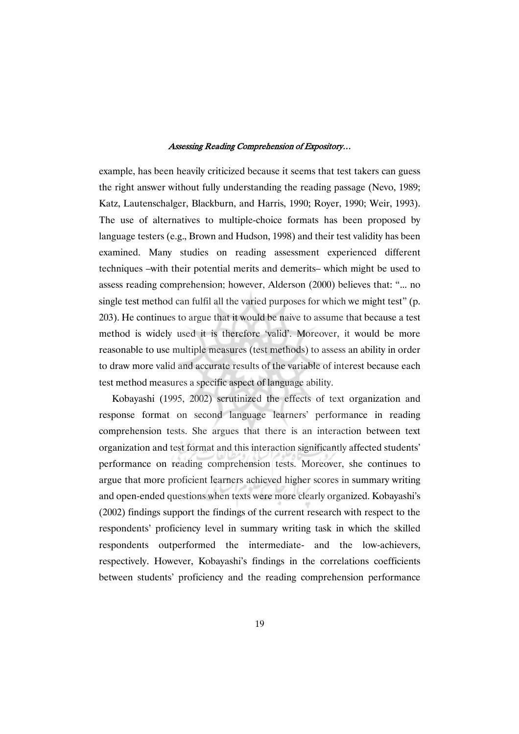example, has been heavily criticized because it seems that test takers can guess the right answer without fully understanding the reading passage (Nevo, 1989; Katz, Lautenschalger, Blackburn, and Harris, 1990; Royer, 1990; Weir, 1993). The use of alternatives to multiple-choice formats has been proposed by language testers (e.g., Brown and Hudson, 1998) and their test validity has been examined. Many studies on reading assessment experienced different techniques –with their potential merits and demerits– which might be used to assess reading comprehension; however, Alderson (2000) believes that: "... no single test method can fulfil all the varied purposes for which we might test" (p. 203). He continues to argue that it would be naive to assume that because a test method is widely used it is therefore 'valid'. Moreover, it would be more reasonable to use multiple measures (test methods) to assess an ability in order to draw more valid and accurate results of the variable of interest because each test method measures a specific aspect of language ability.

Kobayashi (1995, 2002) scrutinized the effects of text organization and response format on second language learners' performance in reading comprehension tests. She argues that there is an interaction between text organization and test format and this interaction significantly affected students' performance on reading comprehension tests. Moreover, she continues to argue that more proficient learners achieved higher scores in summary writing and open-ended questions when texts were more clearly organized. Kobayashi's (2002) findings support the findings of the current research with respect to the respondents' proficiency level in summary writing task in which the skilled respondents outperformed the intermediate- and the low-achievers, respectively. However, Kobayashi's findings in the correlations coefficients between students' proficiency and the reading comprehension performance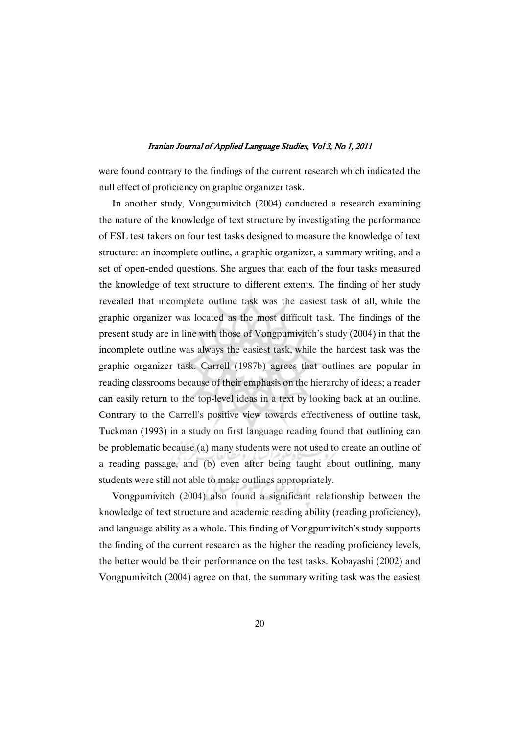were found contrary to the findings of the current research which indicated the null effect of proficiency on graphic organizer task.

In another study, Vongpumivitch (2004) conducted a research examining the nature of the knowledge of text structure by investigating the performance of ESL test takers on four test tasks designed to measure the knowledge of text structure: an incomplete outline, a graphic organizer, a summary writing, and a set of open-ended questions. She argues that each of the four tasks measured the knowledge of text structure to different extents. The finding of her study revealed that incomplete outline task was the easiest task of all, while the graphic organizer was located as the most difficult task. The findings of the present study are in line with those of Vongpumivitch's study (2004) in that the incomplete outline was always the easiest task, while the hardest task was the graphic organizer task. Carrell (1987b) agrees that outlines are popular in reading classrooms because of their emphasis on the hierarchy of ideas; a reader can easily return to the top-level ideas in a text by looking back at an outline. Contrary to the Carrell's positive view towards effectiveness of outline task, Tuckman (1993) in a study on first language reading found that outlining can be problematic because (a) many students were not used to create an outline of a reading passage, and (b) even after being taught about outlining, many students were still not able to make outlines appropriately.

Vongpumivitch (2004) also found a significant relationship between the knowledge of text structure and academic reading ability (reading proficiency), and language ability as a whole. This finding of Vongpumivitch's study supports the finding of the current research as the higher the reading proficiency levels, the better would be their performance on the test tasks. Kobayashi (2002) and Vongpumivitch (2004) agree on that, the summary writing task was the easiest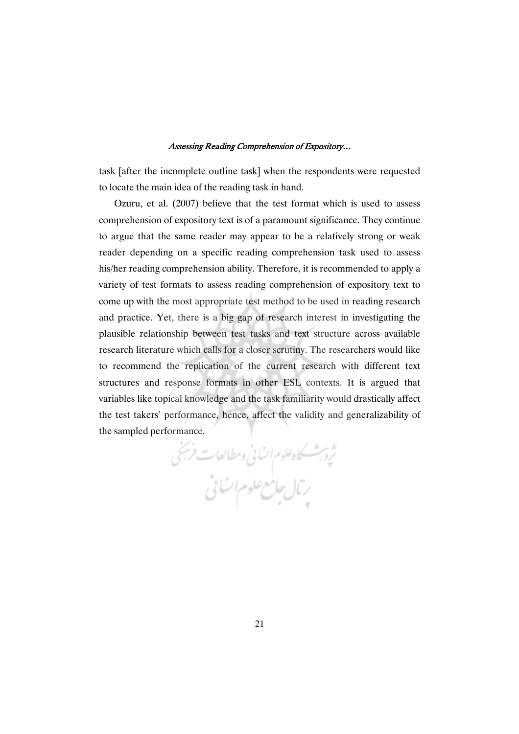task [after the incomplete outline task] when the respondents were requested to locate the main idea of the reading task in hand.

Ozuru, et al. (2007) believe that the test format which is used to assess comprehension of expository text is of a paramount significance. They continue to argue that the same reader may appear to be a relatively strong or weak reader depending on a specific reading comprehension task used to assess his/her reading comprehension ability. Therefore, it is recommended to apply a variety of test formats to assess reading comprehension of expository text to come up with the most appropriate test method to be used in reading research and practice. Yet, there is a big gap of research interest in investigating the plausible relationship between test tasks and text structure across available research literature which calls for a closer scrutiny. The researchers would like to recommend the replication of the current research with different text structures and response formats in other ESL contexts. It is argued that variables like topical knowledge and the task familiarity would drastically affect the test takers' performance, hence, affect the validity and generalizability of the sampled performance.

ثرة ب<sup>ش</sup>سكاه علوم انسانى ومطالعات *فريخى*<br>بريال جامع علوم انسانى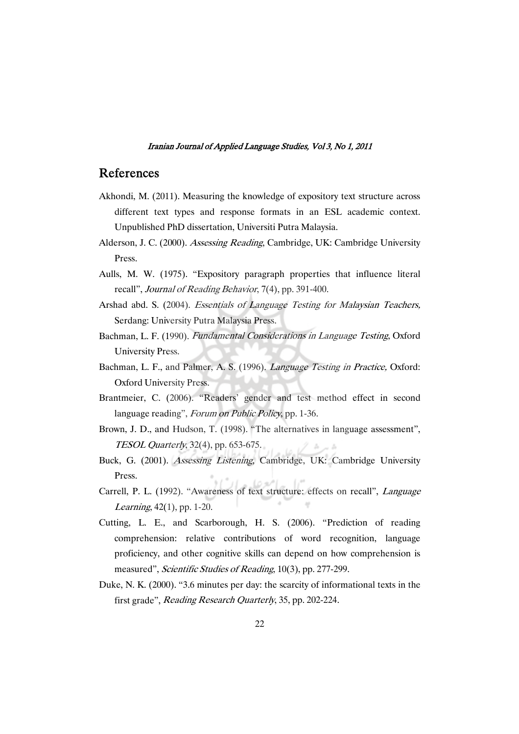# References

- Akhondi, M. (2011). Measuring the knowledge of expository text structure across different text types and response formats in an ESL academic context. Unpublished PhD dissertation, Universiti Putra Malaysia.
- Alderson, J. C. (2000). Assessing Reading, Cambridge, UK: Cambridge University Press.
- Aulls, M. W. (1975). "Expository paragraph properties that influence literal recall", Journal of Reading Behavior, 7(4), pp. 391-400.
- Arshad abd. S. (2004). Essentials of Language Testing for Malaysian Teachers, Serdang: University Putra Malaysia Press.
- Bachman, L. F. (1990). Fundamental Considerations in Language Testing, Oxford University Press.
- Bachman, L. F., and Palmer, A. S. (1996). *Language Testing in Practice*, Oxford: Oxford University Press.
- Brantmeier, C. (2006). "Readers' gender and test method effect in second language reading", Forum on Public Policy, pp. 1-36.
- Brown, J. D., and Hudson, T. (1998). "The alternatives in language assessment", TESOL Quarterly, 32(4), pp. 653-675.
- Buck, G. (2001). Assessing Listening, Cambridge, UK: Cambridge University Press.
- Carrell, P. L. (1992). "Awareness of text structure: effects on recall", Language Learning, 42(1), pp. 1-20.
- Cutting, L. E., and Scarborough, H. S. (2006). "Prediction of reading comprehension: relative contributions of word recognition, language proficiency, and other cognitive skills can depend on how comprehension is measured", Scientific Studies of Reading, 10(3), pp. 277-299.
- Duke, N. K. (2000). "3.6 minutes per day: the scarcity of informational texts in the first grade", *Reading Research Quarterly*, 35, pp. 202-224.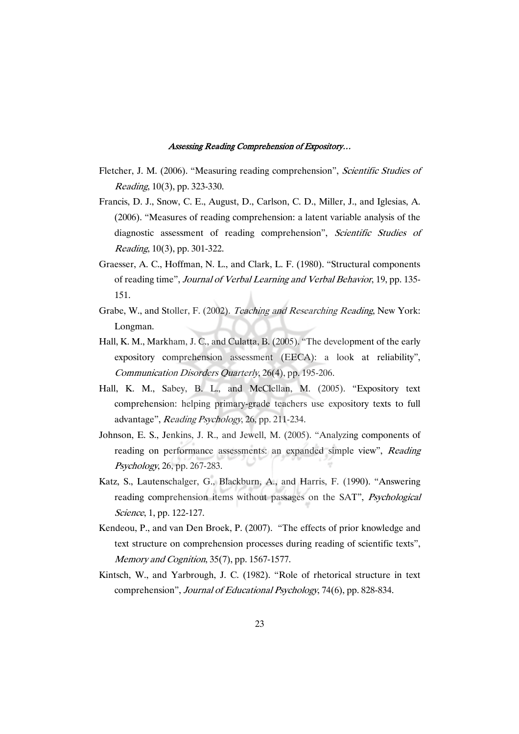- Fletcher, J. M. (2006). "Measuring reading comprehension", *Scientific Studies of* Reading, 10(3), pp. 323-330.
- Francis, D. J., Snow, C. E., August, D., Carlson, C. D., Miller, J., and Iglesias, A. (2006). "Measures of reading comprehension: a latent variable analysis of the diagnostic assessment of reading comprehension", Scientific Studies of Reading, 10(3), pp. 301-322.
- Graesser, A. C., Hoffman, N. L., and Clark, L. F. (1980). "Structural components of reading time", Journal of Verbal Learning and Verbal Behavior, 19, pp. 135- 151.
- Grabe, W., and Stoller, F. (2002). Teaching and Researching Reading, New York: Longman.
- Hall, K. M., Markham, J. C., and Culatta, B. (2005). "The development of the early expository comprehension assessment (EECA): a look at reliability", Communication Disorders Quarterly, 26(4), pp. 195-206.
- Hall, K. M., Sabey, B. L., and McClellan, M. (2005). "Expository text comprehension: helping primary-grade teachers use expository texts to full advantage", Reading Psychology, 26, pp. 211-234.
- Johnson, E. S., Jenkins, J. R., and Jewell, M. (2005). "Analyzing components of reading on performance assessments: an expanded simple view", Reading Psychology, 26, pp. 267-283.
- Katz, S., Lautenschalger, G., Blackburn, A., and Harris, F. (1990). "Answering reading comprehension items without passages on the SAT", Psychological Science, 1, pp. 122-127.
- Kendeou, P., and van Den Broek, P. (2007). "The effects of prior knowledge and text structure on comprehension processes during reading of scientific texts", Memory and Cognition, 35(7), pp. 1567-1577.
- Kintsch, W., and Yarbrough, J. C. (1982). "Role of rhetorical structure in text comprehension", Journal of Educational Psychology, 74(6), pp. 828-834.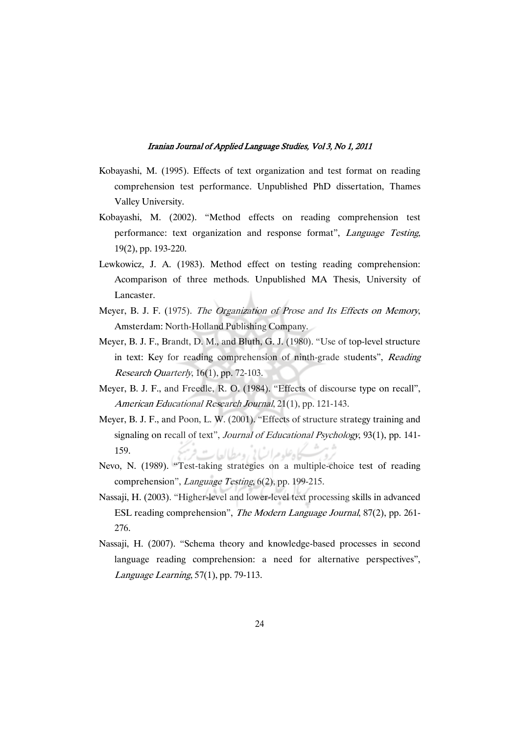- Kobayashi, M. (1995). Effects of text organization and test format on reading comprehension test performance. Unpublished PhD dissertation, Thames Valley University.
- Kobayashi, M. (2002). "Method effects on reading comprehension test performance: text organization and response format", Language Testing, 19(2), pp. 193-220.
- Lewkowicz, J. A. (1983). Method effect on testing reading comprehension: Acomparison of three methods. Unpublished MA Thesis, University of Lancaster.
- Meyer, B. J. F. (1975). The Organization of Prose and Its Effects on Memory, Amsterdam: North-Holland Publishing Company.
- Meyer, B. J. F., Brandt, D. M., and Bluth, G. J. (1980). "Use of top-level structure in text: Key for reading comprehension of ninth-grade students", Reading Research Quarterly, 16(1), pp. 72-103.
- Meyer, B. J. F., and Freedle, R. O. (1984). "Effects of discourse type on recall", American Educational Research Journal, 21(1), pp. 121-143.
- Meyer, B. J. F., and Poon, L. W. (2001). "Effects of structure strategy training and signaling on recall of text", Journal of Educational Psychology, 93(1), pp. 141-159. كاه علوم ات) في ومطالعا به
- Nevo, N. (1989). "Test-taking strategies on a multiple-choice test of reading comprehension", Language Testing, 6(2), pp. 199-215.
- Nassaji, H. (2003). "Higher-level and lower-level text processing skills in advanced ESL reading comprehension", The Modern Language Journal, 87(2), pp. 261- 276.
- Nassaji, H. (2007). "Schema theory and knowledge-based processes in second language reading comprehension: a need for alternative perspectives", Language Learning, 57(1), pp. 79-113.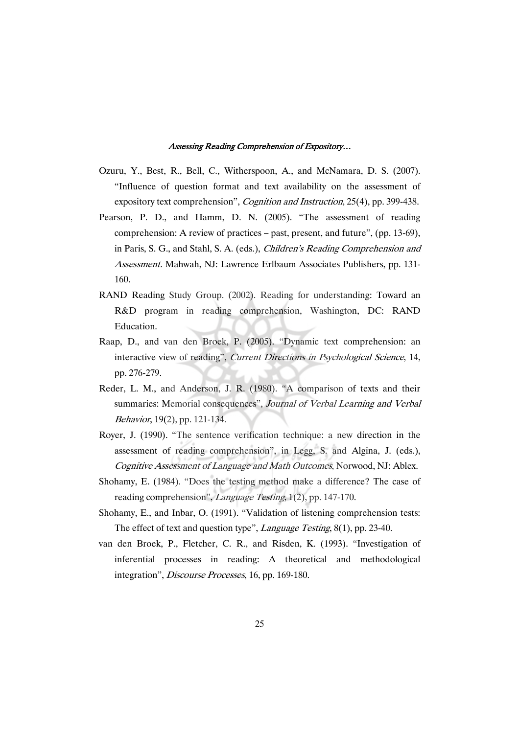- Ozuru, Y., Best, R., Bell, C., Witherspoon, A., and McNamara, D. S. (2007). "Influence of question format and text availability on the assessment of expository text comprehension", *Cognition and Instruction*, 25(4), pp. 399-438.
- Pearson, P. D., and Hamm, D. N. (2005). "The assessment of reading comprehension: A review of practices – past, present, and future", (pp. 13-69), in Paris, S. G., and Stahl, S. A. (eds.), Children's Reading Comprehension and Assessment. Mahwah, NJ: Lawrence Erlbaum Associates Publishers, pp. 131- 160.
- RAND Reading Study Group. (2002). Reading for understanding: Toward an R&D program in reading comprehension, Washington, DC: RAND Education.
- Raap, D., and van den Broek, P. (2005). "Dynamic text comprehension: an interactive view of reading", Current Directions in Psychological Science, 14, pp. 276-279.
- Reder, L. M., and Anderson, J. R. (1980). "A comparison of texts and their summaries: Memorial consequences", Journal of Verbal Learning and Verbal Behavior, 19(2), pp. 121-134.
- Royer, J. (1990). "The sentence verification technique: a new direction in the assessment of reading comprehension", in Legg, S. and Algina, J. (eds.), Cognitive Assessment of Language and Math Outcomes, Norwood, NJ: Ablex.
- Shohamy, E. (1984). "Does the testing method make a difference? The case of reading comprehension", *Language Testing*, 1(2), pp. 147-170.
- Shohamy, E., and Inbar, O. (1991). "Validation of listening comprehension tests: The effect of text and question type", *Language Testing*, 8(1), pp. 23-40.
- van den Broek, P., Fletcher, C. R., and Risden, K. (1993). "Investigation of inferential processes in reading: A theoretical and methodological integration", Discourse Processes, 16, pp. 169-180.